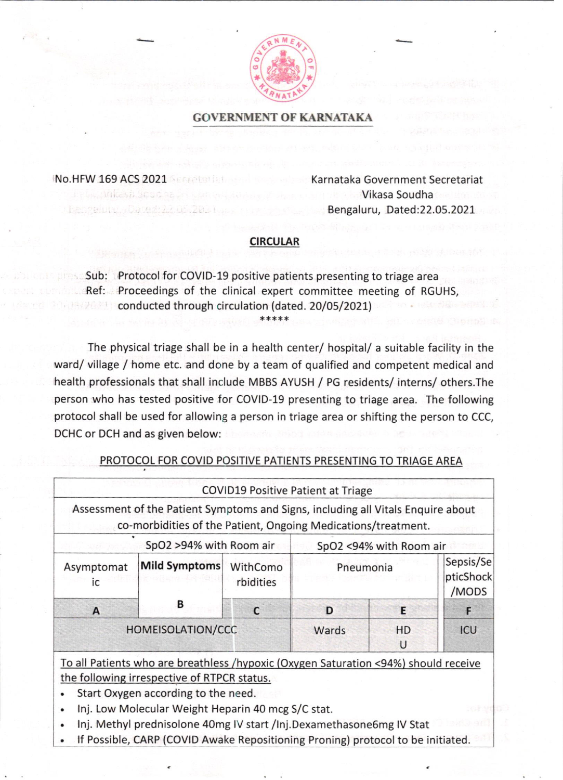

## GOVERNMENT OF KARNATAKA

No.HFW 169 ACS 2021

Karnataka Government Secretariat Vikasa Soudha Bengaluru, Dated:22.05.2021

## CIRCULAR

5ub: Protocol for COVID-19 positive patients presenting to triage area Ref: Proceedings of the clinical expert committee meeting of RGUHS, conducted through circulation (dated. 20/05/2021)

The physical triage shall be in a health center/ hospital/ a suitable facility in the ward/ village / home etc. and done by a team of qualified and competent medical and health professionals that shall include MBBS AYUSH / PG residents/ interns/ others.The person who has tested positive for COVID-19 presenting to triage area. The following protocol shall be used for allowing a person in triage area or shifting the person to CCC, DCHC or DCH and as given below:

## PROTOCOL FOR COVID POSITIVE PATIENTS PRESENTING TO TRIAGE AREA

|                         |                                                                                                                                                   | <b>COVID19 Positive Patient at Triage</b> |                         |         |                                 |
|-------------------------|---------------------------------------------------------------------------------------------------------------------------------------------------|-------------------------------------------|-------------------------|---------|---------------------------------|
|                         | Assessment of the Patient Symptoms and Signs, including all Vitals Enquire about<br>co-morbidities of the Patient, Ongoing Medications/treatment. |                                           |                         |         |                                 |
| SpO2 >94% with Room air |                                                                                                                                                   |                                           | SpO2 <94% with Room air |         |                                 |
| Asymptomat<br>ic        | Mild Symptoms                                                                                                                                     | WithComo<br>rbidities                     | Pneumonia               |         | Sepsis/Se<br>pticShock<br>/MODS |
| $\mathbf{A}$            | В                                                                                                                                                 | C                                         | D                       | E       | F                               |
| HOMEISOLATION/CCC       |                                                                                                                                                   |                                           | Wards                   | HD<br>U | ICU                             |
|                         | To all Patients who are breathless /hypoxic (Oxygen Saturation <94%) should receive                                                               |                                           |                         |         |                                 |

the following irrespective of RTPCR status.

- . Start Oxygen according to the need.
- . lnj. Low Molecular Weight Heparin 40 mcg S/C stat.
- . lnj. Methyl prednisolone 40mg lV start /lnj.DexamethasoneSmg lV Stat
- If Possible, CARP (COVID Awake Repositioning Proning) protocol to be initiated.